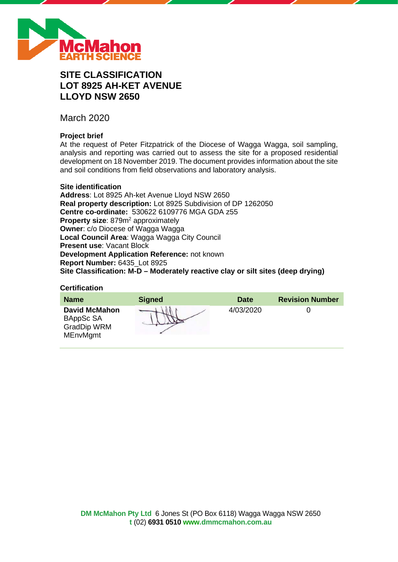

# **SITE CLASSIFICATION LOT 8925 AH-KET AVENUE LLOYD NSW 2650**

March 2020

# **Project brief**

At the request of Peter Fitzpatrick of the Diocese of Wagga Wagga, soil sampling, analysis and reporting was carried out to assess the site for a proposed residential development on 18 November 2019. The document provides information about the site and soil conditions from field observations and laboratory analysis.

# **Site identification**

**Address**: Lot 8925 Ah-ket Avenue Lloyd NSW 2650 **Real property description:** Lot 8925 Subdivision of DP 1262050 **Centre co-ordinate:** 530622 6109776 MGA GDA z55 **Property size:** 879m<sup>2</sup> approximately **Owner**: c/o Diocese of Wagga Wagga **Local Council Area**: Wagga Wagga City Council **Present use**: Vacant Block **Development Application Reference:** not known **Report Number:** 6435\_Lot 8925 **Site Classification: M-D – Moderately reactive clay or silt sites (deep drying)**

#### **Certification**

| <b>Name</b>                                                                | <b>Signed</b> | <b>Date</b> | <b>Revision Number</b> |
|----------------------------------------------------------------------------|---------------|-------------|------------------------|
| <b>David McMahon</b><br>BAppSc SA<br><b>GradDip WRM</b><br><b>MEnvMgmt</b> |               | 4/03/2020   |                        |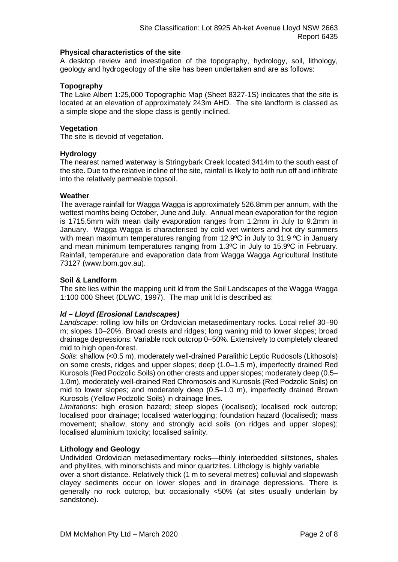# **Physical characteristics of the site**

A desktop review and investigation of the topography, hydrology, soil, lithology, geology and hydrogeology of the site has been undertaken and are as follows:

# **Topography**

The Lake Albert 1:25,000 Topographic Map (Sheet 8327-1S) indicates that the site is located at an elevation of approximately 243m AHD. The site landform is classed as a simple slope and the slope class is gently inclined.

# **Vegetation**

The site is devoid of vegetation.

# **Hydrology**

The nearest named waterway is Stringybark Creek located 3414m to the south east of the site. Due to the relative incline of the site, rainfall is likely to both run off and infiltrate into the relatively permeable topsoil.

# **Weather**

The average rainfall for Wagga Wagga is approximately 526.8mm per annum, with the wettest months being October, June and July. Annual mean evaporation for the region is 1715.5mm with mean daily evaporation ranges from 1.2mm in July to 9.2mm in January. Wagga Wagga is characterised by cold wet winters and hot dry summers with mean maximum temperatures ranging from 12.9°C in July to 31.9 °C in January and mean minimum temperatures ranging from 1.3ºC in July to 15.9ºC in February. Rainfall, temperature and evaporation data from Wagga Wagga Agricultural Institute 73127 (www.bom.gov.au).

# **Soil & Landform**

The site lies within the mapping unit ld from the Soil Landscapes of the Wagga Wagga 1:100 000 Sheet (DLWC, 1997). The map unit ld is described as:

# *ld – Lloyd (Erosional Landscapes)*

*Landscape*: rolling low hills on Ordovician metasedimentary rocks. Local relief 30–90 m; slopes 10–20%. Broad crests and ridges; long waning mid to lower slopes; broad drainage depressions. Variable rock outcrop 0–50%. Extensively to completely cleared mid to high open-forest.

*Soils*: shallow (<0.5 m), moderately well-drained Paralithic Leptic Rudosols (Lithosols) on some crests, ridges and upper slopes; deep (1.0–1.5 m), imperfectly drained Red Kurosols (Red Podzolic Soils) on other crests and upper slopes; moderately deep (0.5– 1.0m), moderately well-drained Red Chromosols and Kurosols (Red Podzolic Soils) on mid to lower slopes; and moderately deep (0.5–1.0 m), imperfectly drained Brown Kurosols (Yellow Podzolic Soils) in drainage lines.

*Limitations*: high erosion hazard; steep slopes (localised); localised rock outcrop; localised poor drainage; localised waterlogging; foundation hazard (localised); mass movement; shallow, stony and strongly acid soils (on ridges and upper slopes); localised aluminium toxicity; localised salinity.

#### **Lithology and Geology**

Undivided Ordovician metasedimentary rocks—thinly interbedded siltstones, shales and phyllites, with minorschists and minor quartzites. Lithology is highly variable

over a short distance. Relatively thick (1 m to several metres) colluvial and slopewash clayey sediments occur on lower slopes and in drainage depressions. There is generally no rock outcrop, but occasionally <50% (at sites usually underlain by sandstone).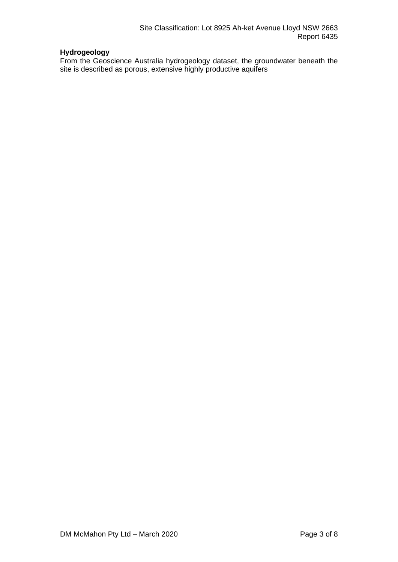# **Hydrogeology**

From the Geoscience Australia hydrogeology dataset, the groundwater beneath the site is described as porous, extensive highly productive aquifers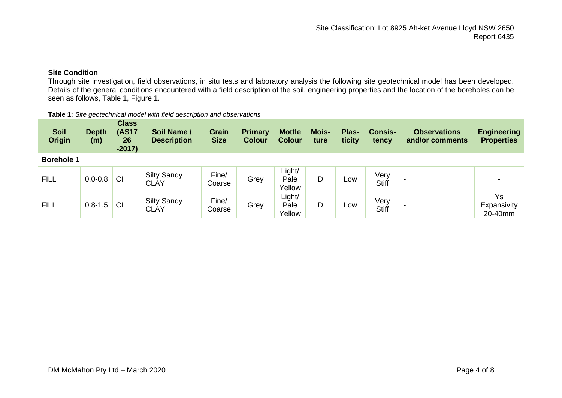# **Site Condition**

Through site investigation, field observations, in situ tests and laboratory analysis the following site geotechnical model has been developed. Details of the general conditions encountered with a field description of the soil, engineering properties and the location of the boreholes can be seen as follows, Table 1, Figure 1.

| <b>Soil</b><br><b>Origin</b> | <b>Depth</b><br>(m) | <b>Class</b><br><b>(AS17</b><br>26<br>$-2017)$ | Soil Name /<br><b>Description</b> | Grain<br><b>Size</b> | <b>Primary</b><br><b>Colour</b> | <b>Mottle</b><br><b>Colour</b> | <b>Mois-</b><br>ture | Plas-<br>ticity | <b>Consis-</b><br>tency | <b>Observations</b><br>and/or comments | <b>Engineering</b><br><b>Properties</b> |
|------------------------------|---------------------|------------------------------------------------|-----------------------------------|----------------------|---------------------------------|--------------------------------|----------------------|-----------------|-------------------------|----------------------------------------|-----------------------------------------|
| <b>Borehole 1</b>            |                     |                                                |                                   |                      |                                 |                                |                      |                 |                         |                                        |                                         |
| <b>FILL</b>                  | $0.0 - 0.8$         | <b>CI</b>                                      | <b>Silty Sandy</b><br><b>CLAY</b> | Fine/<br>Coarse      | Grey                            | Light/<br>Pale<br>Yellow       | D                    | Low             | Very<br><b>Stiff</b>    |                                        |                                         |
| <b>FILL</b>                  | $0.8 - 1.5$         | <b>CI</b>                                      | <b>Silty Sandy</b><br><b>CLAY</b> | Fine/<br>Coarse      | Grey                            | Light/<br>Pale<br>Yellow       | D                    | Low             | Very<br><b>Stiff</b>    |                                        | Ys<br>Expansivity<br>20-40mm            |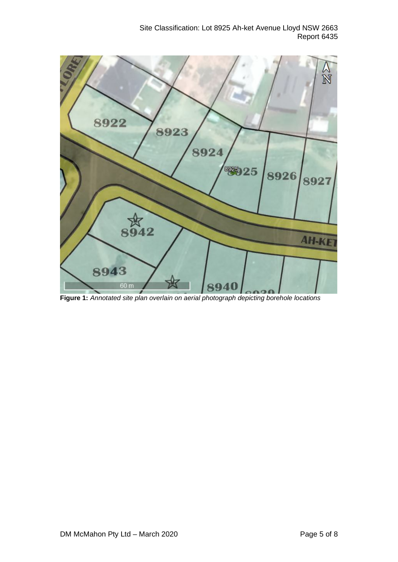

**Figure 1:** *Annotated site plan overlain on aerial photograph depicting borehole locations*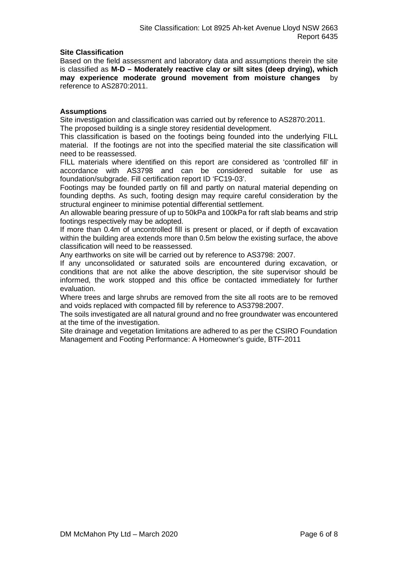# **Site Classification**

Based on the field assessment and laboratory data and assumptions therein the site is classified as **M-D – Moderately reactive clay or silt sites (deep drying), which may experience moderate ground movement from moisture changes** by reference to AS2870:2011.

# **Assumptions**

Site investigation and classification was carried out by reference to AS2870:2011. The proposed building is a single storey residential development.

This classification is based on the footings being founded into the underlying FILL material. If the footings are not into the specified material the site classification will need to be reassessed.

FILL materials where identified on this report are considered as 'controlled fill' in accordance with AS3798 and can be considered suitable for use as foundation/subgrade. Fill certification report ID 'FC19-03'.

Footings may be founded partly on fill and partly on natural material depending on founding depths. As such, footing design may require careful consideration by the structural engineer to minimise potential differential settlement.

An allowable bearing pressure of up to 50kPa and 100kPa for raft slab beams and strip footings respectively may be adopted.

If more than 0.4m of uncontrolled fill is present or placed, or if depth of excavation within the building area extends more than 0.5m below the existing surface, the above classification will need to be reassessed.

Any earthworks on site will be carried out by reference to AS3798: 2007.

If any unconsolidated or saturated soils are encountered during excavation, or conditions that are not alike the above description, the site supervisor should be informed, the work stopped and this office be contacted immediately for further evaluation.

Where trees and large shrubs are removed from the site all roots are to be removed and voids replaced with compacted fill by reference to AS3798:2007.

The soils investigated are all natural ground and no free groundwater was encountered at the time of the investigation.

Site drainage and vegetation limitations are adhered to as per the CSIRO Foundation Management and Footing Performance: A Homeowner's guide, BTF-2011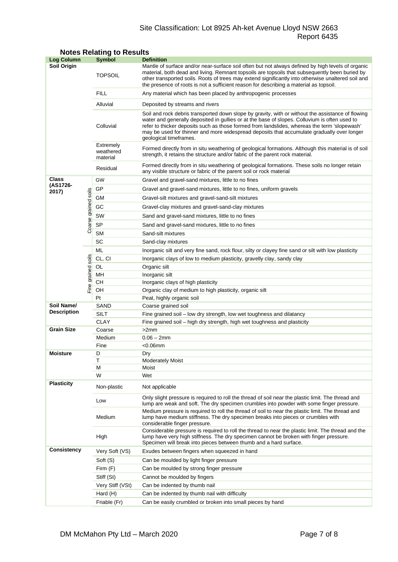# Site Classification: Lot 8925 Ah-ket Avenue Lloyd NSW 2663 Report 6435

| <b>Log Column</b>                |                      | <b>Symbol</b>                      | <b>Definition</b>                                                                                                                                                                                                                                                                                                                                                                                                          |  |  |  |
|----------------------------------|----------------------|------------------------------------|----------------------------------------------------------------------------------------------------------------------------------------------------------------------------------------------------------------------------------------------------------------------------------------------------------------------------------------------------------------------------------------------------------------------------|--|--|--|
| Soil Origin                      |                      | <b>TOPSOIL</b>                     | Mantle of surface and/or near-surface soil often but not always defined by high levels of organic<br>material, both dead and living. Remnant topsoils are topsoils that subsequently been buried by<br>other transported soils. Roots of trees may extend significantly into otherwise unaltered soil and<br>the presence of roots is not a sufficient reason for describing a material as topsoil.                        |  |  |  |
|                                  |                      | <b>FILL</b>                        | Any material which has been placed by anthropogenic processes                                                                                                                                                                                                                                                                                                                                                              |  |  |  |
|                                  |                      | Alluvial                           | Deposited by streams and rivers                                                                                                                                                                                                                                                                                                                                                                                            |  |  |  |
|                                  |                      | Colluvial                          | Soil and rock debris transported down slope by gravity, with or without the assistance of flowing<br>water and generally deposited in gullies or at the base of slopes. Colluvium is often used to<br>refer to thicker deposits such as those formed from landslides, whereas the term 'slopewash'<br>may be used for thinner and more widespread deposits that accumulate gradually over longer<br>geological timeframes. |  |  |  |
|                                  |                      | Extremely<br>weathered<br>material | Formed directly from in situ weathering of geological formations. Although this material is of soil<br>strength, it retains the structure and/or fabric of the parent rock material.                                                                                                                                                                                                                                       |  |  |  |
|                                  |                      | Residual                           | Formed directly from in situ weathering of geological formations. These soils no longer retain<br>any visible structure or fabric of the parent soil or rock material                                                                                                                                                                                                                                                      |  |  |  |
| <b>Class</b>                     |                      | GW                                 | Gravel and gravel-sand mixtures, little to no fines                                                                                                                                                                                                                                                                                                                                                                        |  |  |  |
| (AS1726-<br>2017)                |                      | GP                                 | Gravel and gravel-sand mixtures, little to no fines, uniform gravels                                                                                                                                                                                                                                                                                                                                                       |  |  |  |
|                                  |                      | GМ                                 | Gravel-silt mixtures and gravel-sand-silt mixtures                                                                                                                                                                                                                                                                                                                                                                         |  |  |  |
|                                  |                      | GC                                 | Gravel-clay mixtures and gravel-sand-clay mixtures                                                                                                                                                                                                                                                                                                                                                                         |  |  |  |
|                                  |                      | SW                                 | Sand and gravel-sand mixtures, little to no fines                                                                                                                                                                                                                                                                                                                                                                          |  |  |  |
|                                  | Coarse grained soils | <b>SP</b>                          | Sand and gravel-sand mixtures, little to no fines                                                                                                                                                                                                                                                                                                                                                                          |  |  |  |
|                                  |                      | <b>SM</b>                          | Sand-silt mixtures                                                                                                                                                                                                                                                                                                                                                                                                         |  |  |  |
|                                  |                      | SC                                 | Sand-clay mixtures                                                                                                                                                                                                                                                                                                                                                                                                         |  |  |  |
|                                  |                      | ML                                 | Inorganic silt and very fine sand, rock flour, silty or clayey fine sand or silt with low plasticity                                                                                                                                                                                                                                                                                                                       |  |  |  |
|                                  |                      | CL, CI                             | Inorganic clays of low to medium plasticity, gravelly clay, sandy clay                                                                                                                                                                                                                                                                                                                                                     |  |  |  |
|                                  | grained soils        | OL                                 | Organic silt                                                                                                                                                                                                                                                                                                                                                                                                               |  |  |  |
|                                  |                      | MН                                 | Inorganic silt                                                                                                                                                                                                                                                                                                                                                                                                             |  |  |  |
| Fine                             |                      | CН                                 | Inorganic clays of high plasticity                                                                                                                                                                                                                                                                                                                                                                                         |  |  |  |
|                                  |                      | OH                                 | Organic clay of medium to high plasticity, organic silt                                                                                                                                                                                                                                                                                                                                                                    |  |  |  |
|                                  |                      | Pt                                 | Peat, highly organic soil                                                                                                                                                                                                                                                                                                                                                                                                  |  |  |  |
| Soil Name/<br><b>Description</b> |                      | SAND                               | Coarse grained soil                                                                                                                                                                                                                                                                                                                                                                                                        |  |  |  |
|                                  |                      | <b>SILT</b><br><b>CLAY</b>         | Fine grained soil - low dry strength, low wet toughness and dilatancy<br>Fine grained soil – high dry strength, high wet toughness and plasticity                                                                                                                                                                                                                                                                          |  |  |  |
| <b>Grain Size</b>                |                      | Coarse                             | >2mm                                                                                                                                                                                                                                                                                                                                                                                                                       |  |  |  |
|                                  |                      | Medium                             | $0.06 - 2mm$                                                                                                                                                                                                                                                                                                                                                                                                               |  |  |  |
|                                  |                      | Fine                               | $<$ 0.06 $mm$                                                                                                                                                                                                                                                                                                                                                                                                              |  |  |  |
| <b>Moisture</b>                  |                      | D                                  | Dry                                                                                                                                                                                                                                                                                                                                                                                                                        |  |  |  |
|                                  |                      | Τ                                  | <b>Moderately Moist</b>                                                                                                                                                                                                                                                                                                                                                                                                    |  |  |  |
|                                  |                      | М                                  | Moist                                                                                                                                                                                                                                                                                                                                                                                                                      |  |  |  |
|                                  |                      | W                                  | Wet                                                                                                                                                                                                                                                                                                                                                                                                                        |  |  |  |
| <b>Plasticity</b>                |                      | Non-plastic                        | Not applicable                                                                                                                                                                                                                                                                                                                                                                                                             |  |  |  |
|                                  |                      | Low                                | Only slight pressure is required to roll the thread of soil near the plastic limit. The thread and<br>lump are weak and soft. The dry specimen crumbles into powder with some finger pressure.                                                                                                                                                                                                                             |  |  |  |
|                                  |                      | Medium                             | Medium pressure is required to roll the thread of soil to near the plastic limit. The thread and<br>lump have medium stiffness. The dry specimen breaks into pieces or crumbles with<br>considerable finger pressure.                                                                                                                                                                                                      |  |  |  |
|                                  |                      | High                               | Considerable pressure is required to roll the thread to near the plastic limit. The thread and the<br>lump have very high stiffness. The dry specimen cannot be broken with finger pressure.<br>Specimen will break into pieces between thumb and a hard surface.                                                                                                                                                          |  |  |  |
| <b>Consistency</b>               |                      | Very Soft (VS)                     | Exudes between fingers when squeezed in hand                                                                                                                                                                                                                                                                                                                                                                               |  |  |  |
|                                  |                      | Soft (S)                           | Can be moulded by light finger pressure                                                                                                                                                                                                                                                                                                                                                                                    |  |  |  |
|                                  |                      | Firm (F)                           | Can be moulded by strong finger pressure                                                                                                                                                                                                                                                                                                                                                                                   |  |  |  |
|                                  |                      | Stiff (St)                         | Cannot be moulded by fingers                                                                                                                                                                                                                                                                                                                                                                                               |  |  |  |
|                                  |                      | Very Stiff (VSt)                   | Can be indented by thumb nail                                                                                                                                                                                                                                                                                                                                                                                              |  |  |  |
|                                  |                      | Hard (H)                           | Can be indented by thumb nail with difficulty                                                                                                                                                                                                                                                                                                                                                                              |  |  |  |
|                                  |                      | Friable (Fr)                       | Can be easily crumbled or broken into small pieces by hand                                                                                                                                                                                                                                                                                                                                                                 |  |  |  |

# **Notes Relating to Results**